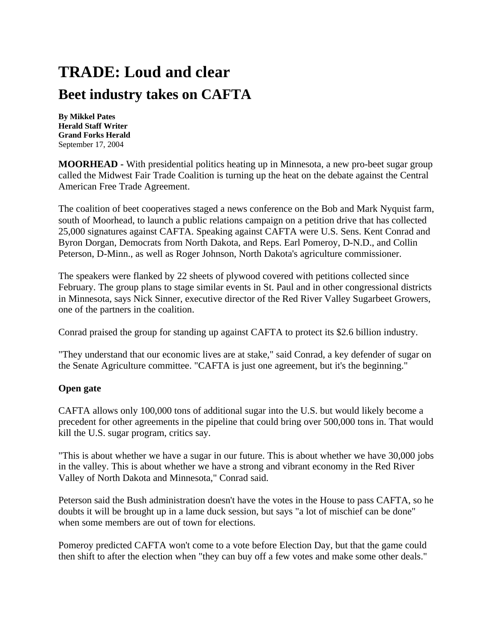## **TRADE: Loud and clear Beet industry takes on CAFTA**

**By Mikkel Pates Herald Staff Writer Grand Forks Herald** September 17, 2004

**MOORHEAD -** With presidential politics heating up in Minnesota, a new pro-beet sugar group called the Midwest Fair Trade Coalition is turning up the heat on the debate against the Central American Free Trade Agreement.

The coalition of beet cooperatives staged a news conference on the Bob and Mark Nyquist farm, south of Moorhead, to launch a public relations campaign on a petition drive that has collected 25,000 signatures against CAFTA. Speaking against CAFTA were U.S. Sens. Kent Conrad and Byron Dorgan, Democrats from North Dakota, and Reps. Earl Pomeroy, D-N.D., and Collin Peterson, D-Minn., as well as Roger Johnson, North Dakota's agriculture commissioner.

The speakers were flanked by 22 sheets of plywood covered with petitions collected since February. The group plans to stage similar events in St. Paul and in other congressional districts in Minnesota, says Nick Sinner, executive director of the Red River Valley Sugarbeet Growers, one of the partners in the coalition.

Conrad praised the group for standing up against CAFTA to protect its \$2.6 billion industry.

"They understand that our economic lives are at stake," said Conrad, a key defender of sugar on the Senate Agriculture committee. "CAFTA is just one agreement, but it's the beginning."

## **Open gate**

CAFTA allows only 100,000 tons of additional sugar into the U.S. but would likely become a precedent for other agreements in the pipeline that could bring over 500,000 tons in. That would kill the U.S. sugar program, critics say.

"This is about whether we have a sugar in our future. This is about whether we have 30,000 jobs in the valley. This is about whether we have a strong and vibrant economy in the Red River Valley of North Dakota and Minnesota," Conrad said.

Peterson said the Bush administration doesn't have the votes in the House to pass CAFTA, so he doubts it will be brought up in a lame duck session, but says "a lot of mischief can be done" when some members are out of town for elections.

Pomeroy predicted CAFTA won't come to a vote before Election Day, but that the game could then shift to after the election when "they can buy off a few votes and make some other deals."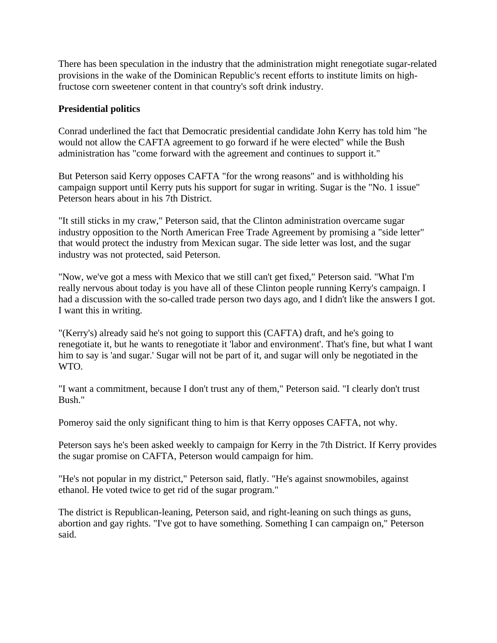There has been speculation in the industry that the administration might renegotiate sugar-related provisions in the wake of the Dominican Republic's recent efforts to institute limits on highfructose corn sweetener content in that country's soft drink industry.

## **Presidential politics**

Conrad underlined the fact that Democratic presidential candidate John Kerry has told him "he would not allow the CAFTA agreement to go forward if he were elected" while the Bush administration has "come forward with the agreement and continues to support it."

But Peterson said Kerry opposes CAFTA "for the wrong reasons" and is withholding his campaign support until Kerry puts his support for sugar in writing. Sugar is the "No. 1 issue" Peterson hears about in his 7th District.

"It still sticks in my craw," Peterson said, that the Clinton administration overcame sugar industry opposition to the North American Free Trade Agreement by promising a "side letter" that would protect the industry from Mexican sugar. The side letter was lost, and the sugar industry was not protected, said Peterson.

"Now, we've got a mess with Mexico that we still can't get fixed," Peterson said. "What I'm really nervous about today is you have all of these Clinton people running Kerry's campaign. I had a discussion with the so-called trade person two days ago, and I didn't like the answers I got. I want this in writing.

"(Kerry's) already said he's not going to support this (CAFTA) draft, and he's going to renegotiate it, but he wants to renegotiate it 'labor and environment'. That's fine, but what I want him to say is 'and sugar.' Sugar will not be part of it, and sugar will only be negotiated in the WTO.

"I want a commitment, because I don't trust any of them," Peterson said. "I clearly don't trust Bush."

Pomeroy said the only significant thing to him is that Kerry opposes CAFTA, not why.

Peterson says he's been asked weekly to campaign for Kerry in the 7th District. If Kerry provides the sugar promise on CAFTA, Peterson would campaign for him.

"He's not popular in my district," Peterson said, flatly. "He's against snowmobiles, against ethanol. He voted twice to get rid of the sugar program."

The district is Republican-leaning, Peterson said, and right-leaning on such things as guns, abortion and gay rights. "I've got to have something. Something I can campaign on," Peterson said.